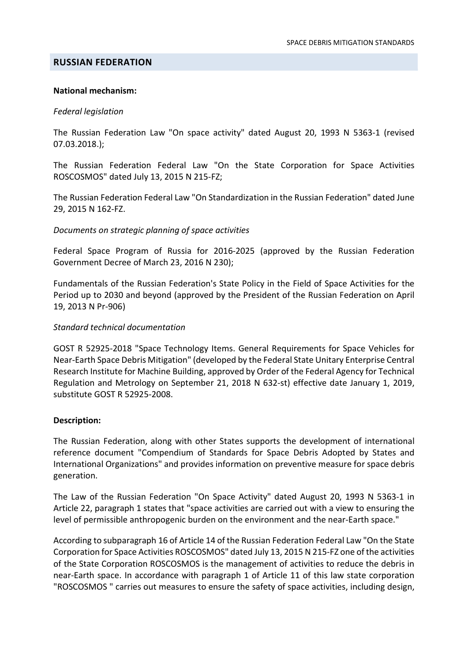#### **RUSSIAN FEDERATION**

#### National mechanism:

#### Federal legislation

The Russian Federation Law "On space activity" dated August 20, 1993 N 5363-1 (revised 07.03.2018.);

The Russian Federation Federal Law "On the State Corporation for Space Activities ROSCOSMOS" dated July 13, 2015 N 215-FZ;

The Russian Federation Federal Law "On Standardization in the Russian Federation" dated June 29, 2015 N 162-FZ.

#### Documents on strategic planning of space activities

Federal Space Program of Russia for 2016-2025 (approved by the Russian Federation Government Decree of March 23, 2016 N 230);

Fundamentals of the Russian Federation's State Policy in the Field of Space Activities for the Period up to 2030 and beyond (approved by the President of the Russian Federation on April 19, 2013 N Pr-906)

#### Standard technical documentation

GOST R 52925-2018 "Space Technology Items. General Requirements for Space Vehicles for Near-Earth Space Debris Mitigation" (developed by the Federal State Unitary Enterprise Central Research Institute for Machine Building, approved by Order of the Federal Agency for Technical Regulation and Metrology on September 21, 2018 N 632-st) effective date January 1, 2019, substitute GOST R 52925-2008.

### Description:

The Russian Federation, along with other States supports the development of international reference document "Compendium of Standards for Space Debris Adopted by States and International Organizations" and provides information on preventive measure for space debris generation.

The Law of the Russian Federation "On Space Activity" dated August 20, 1993 N 5363-1 in Article 22, paragraph 1 states that "space activities are carried out with a view to ensuring the level of permissible anthropogenic burden on the environment and the near-Earth space."

According to subparagraph 16 of Article 14 of the Russian Federation Federal Law "On the State Corporation for Space Activities ROSCOSMOS" dated July 13, 2015 N 215-FZ one of the activities of the State Corporation ROSCOSMOS is the management of activities to reduce the debris in near-Earth space. In accordance with paragraph 1 of Article 11 of this law state corporation "ROSCOSMOS " carries out measures to ensure the safety of space activities, including design,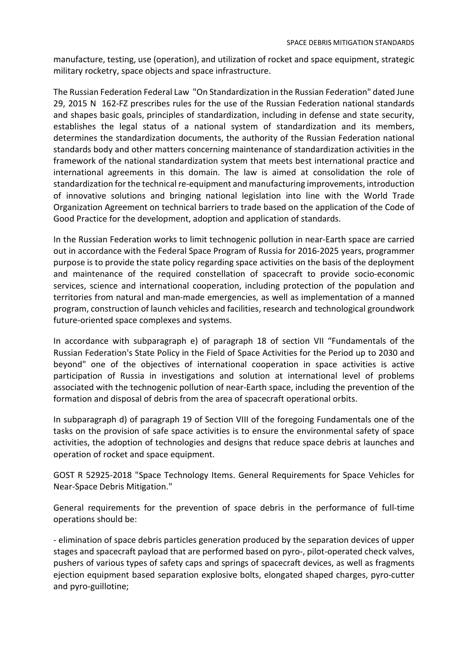manufacture, testing, use (operation), and utilization of rocket and space equipment, strategic military rocketry, space objects and space infrastructure.

The Russian Federation Federal Law "On Standardization in the Russian Federation" dated June 29, 2015 N 162-FZ prescribes rules for the use of the Russian Federation national standards and shapes basic goals, principles of standardization, including in defense and state security, establishes the legal status of a national system of standardization and its members, determines the standardization documents, the authority of the Russian Federation national standards body and other matters concerning maintenance of standardization activities in the framework of the national standardization system that meets best international practice and international agreements in this domain. The law is aimed at consolidation the role of standardization for the technical re-equipment and manufacturing improvements, introduction of innovative solutions and bringing national legislation into line with the World Trade Organization Agreement on technical barriers to trade based on the application of the Code of Good Practice for the development, adoption and application of standards.

In the Russian Federation works to limit technogenic pollution in near-Earth space are carried out in accordance with the Federal Space Program of Russia for 2016-2025 years, programmer purpose is to provide the state policy regarding space activities on the basis of the deployment and maintenance of the required constellation of spacecraft to provide socio-economic services, science and international cooperation, including protection of the population and territories from natural and man-made emergencies, as well as implementation of a manned program, construction of launch vehicles and facilities, research and technological groundwork future-oriented space complexes and systems.

In accordance with subparagraph e) of paragraph 18 of section VII "Fundamentals of the Russian Federation's State Policy in the Field of Space Activities for the Period up to 2030 and beyond" one of the objectives of international cooperation in space activities is active participation of Russia in investigations and solution at international level of problems associated with the technogenic pollution of near-Earth space, including the prevention of the formation and disposal of debris from the area of spacecraft operational orbits.

In subparagraph d) of paragraph 19 of Section VIII of the foregoing Fundamentals one of the tasks on the provision of safe space activities is to ensure the environmental safety of space activities, the adoption of technologies and designs that reduce space debris at launches and operation of rocket and space equipment.

GOST R 52925-2018 "Space Technology Items. General Requirements for Space Vehicles for Near-Space Debris Mitigation."

General requirements for the prevention of space debris in the performance of full-time operations should be:

- elimination of space debris particles generation produced by the separation devices of upper stages and spacecraft payload that are performed based on pyro-, pilot-operated check valves, pushers of various types of safety caps and springs of spacecraft devices, as well as fragments ejection equipment based separation explosive bolts, elongated shaped charges, pyro-cutter and pyro-guillotine;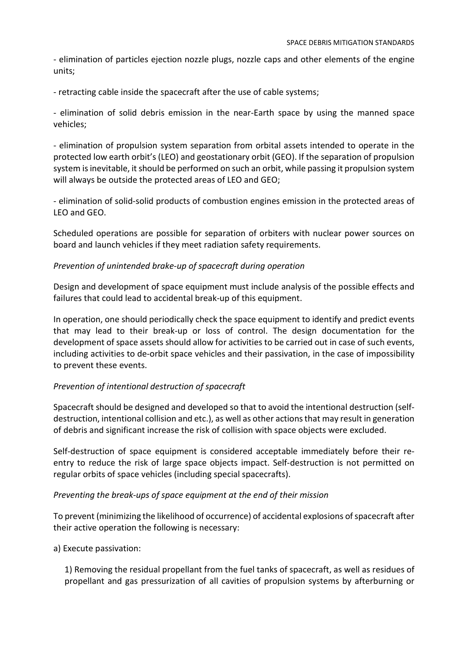- elimination of particles ejection nozzle plugs, nozzle caps and other elements of the engine units;

- retracting cable inside the spacecraft after the use of cable systems;

- elimination of solid debris emission in the near-Earth space by using the manned space vehicles;

- elimination of propulsion system separation from orbital assets intended to operate in the protected low earth orbit's (LEO) and geostationary orbit (GEO). If the separation of propulsion system is inevitable, it should be performed on such an orbit, while passing it propulsion system will always be outside the protected areas of LEO and GEO;

- elimination of solid-solid products of combustion engines emission in the protected areas of LEO and GEO.

Scheduled operations are possible for separation of orbiters with nuclear power sources on board and launch vehicles if they meet radiation safety requirements.

#### Prevention of unintended brake-up of spacecraft during operation

Design and development of space equipment must include analysis of the possible effects and failures that could lead to accidental break-up of this equipment.

In operation, one should periodically check the space equipment to identify and predict events that may lead to their break-up or loss of control. The design documentation for the development of space assets should allow for activities to be carried out in case of such events, including activities to de-orbit space vehicles and their passivation, in the case of impossibility to prevent these events.

#### Prevention of intentional destruction of spacecraft

Spacecraft should be designed and developed so that to avoid the intentional destruction (selfdestruction, intentional collision and etc.), as well as other actions that may result in generation of debris and significant increase the risk of collision with space objects were excluded.

Self-destruction of space equipment is considered acceptable immediately before their reentry to reduce the risk of large space objects impact. Self-destruction is not permitted on regular orbits of space vehicles (including special spacecrafts).

#### Preventing the break-ups of space equipment at the end of their mission

To prevent (minimizing the likelihood of occurrence) of accidental explosions of spacecraft after their active operation the following is necessary:

#### a) Execute passivation:

1) Removing the residual propellant from the fuel tanks of spacecraft, as well as residues of propellant and gas pressurization of all cavities of propulsion systems by afterburning or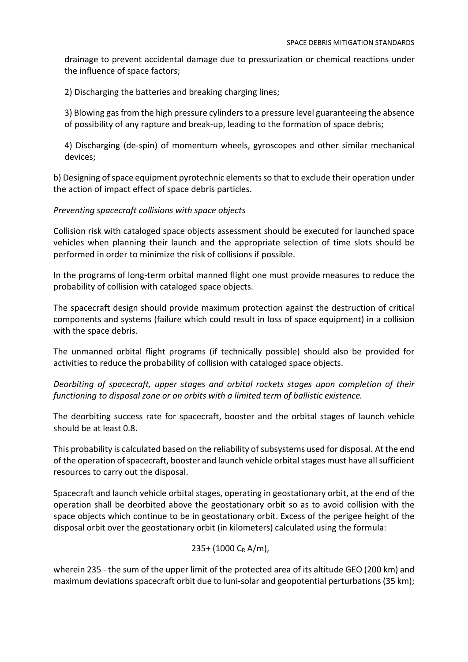drainage to prevent accidental damage due to pressurization or chemical reactions under the influence of space factors;

2) Discharging the batteries and breaking charging lines;

3) Blowing gas from the high pressure cylinders to a pressure level guaranteeing the absence of possibility of any rapture and break-up, leading to the formation of space debris;

4) Discharging (de-spin) of momentum wheels, gyroscopes and other similar mechanical devices;

b) Designing of space equipment pyrotechnic elements so that to exclude their operation under the action of impact effect of space debris particles.

#### Preventing spacecraft collisions with space objects

Collision risk with cataloged space objects assessment should be executed for launched space vehicles when planning their launch and the appropriate selection of time slots should be performed in order to minimize the risk of collisions if possible.

In the programs of long-term orbital manned flight one must provide measures to reduce the probability of collision with cataloged space objects.

The spacecraft design should provide maximum protection against the destruction of critical components and systems (failure which could result in loss of space equipment) in a collision with the space debris.

The unmanned orbital flight programs (if technically possible) should also be provided for activities to reduce the probability of collision with cataloged space objects.

Deorbiting of spacecraft, upper stages and orbital rockets stages upon completion of their functioning to disposal zone or on orbits with a limited term of ballistic existence.

The deorbiting success rate for spacecraft, booster and the orbital stages of launch vehicle should be at least 0.8.

This probability is calculated based on the reliability of subsystems used for disposal. At the end of the operation of spacecraft, booster and launch vehicle orbital stages must have all sufficient resources to carry out the disposal.

Spacecraft and launch vehicle orbital stages, operating in geostationary orbit, at the end of the operation shall be deorbited above the geostationary orbit so as to avoid collision with the space objects which continue to be in geostationary orbit. Excess of the perigee height of the disposal orbit over the geostationary orbit (in kilometers) calculated using the formula:

## 235+ (1000 CR A/m),

wherein 235 - the sum of the upper limit of the protected area of its altitude GEO (200 km) and maximum deviations spacecraft orbit due to luni-solar and geopotential perturbations (35 km);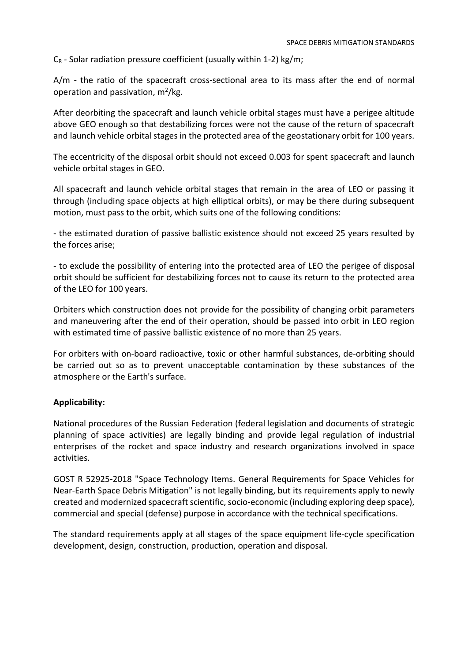$C_R$  - Solar radiation pressure coefficient (usually within 1-2) kg/m;

A/m - the ratio of the spacecraft cross-sectional area to its mass after the end of normal operation and passivation,  $m^2/kg$ .

After deorbiting the spacecraft and launch vehicle orbital stages must have a perigee altitude above GEO enough so that destabilizing forces were not the cause of the return of spacecraft and launch vehicle orbital stages in the protected area of the geostationary orbit for 100 years.

The eccentricity of the disposal orbit should not exceed 0.003 for spent spacecraft and launch vehicle orbital stages in GEO.

All spacecraft and launch vehicle orbital stages that remain in the area of LEO or passing it through (including space objects at high elliptical orbits), or may be there during subsequent motion, must pass to the orbit, which suits one of the following conditions:

- the estimated duration of passive ballistic existence should not exceed 25 years resulted by the forces arise;

- to exclude the possibility of entering into the protected area of LEO the perigee of disposal orbit should be sufficient for destabilizing forces not to cause its return to the protected area of the LEO for 100 years.

Orbiters which construction does not provide for the possibility of changing orbit parameters and maneuvering after the end of their operation, should be passed into orbit in LEO region with estimated time of passive ballistic existence of no more than 25 years.

For orbiters with on-board radioactive, toxic or other harmful substances, de-orbiting should be carried out so as to prevent unacceptable contamination by these substances of the atmosphere or the Earth's surface.

# Applicability:

National procedures of the Russian Federation (federal legislation and documents of strategic planning of space activities) are legally binding and provide legal regulation of industrial enterprises of the rocket and space industry and research organizations involved in space activities.

GOST R 52925-2018 "Space Technology Items. General Requirements for Space Vehicles for Near-Earth Space Debris Mitigation" is not legally binding, but its requirements apply to newly created and modernized spacecraft scientific, socio-economic (including exploring deep space), commercial and special (defense) purpose in accordance with the technical specifications.

The standard requirements apply at all stages of the space equipment life-cycle specification development, design, construction, production, operation and disposal.